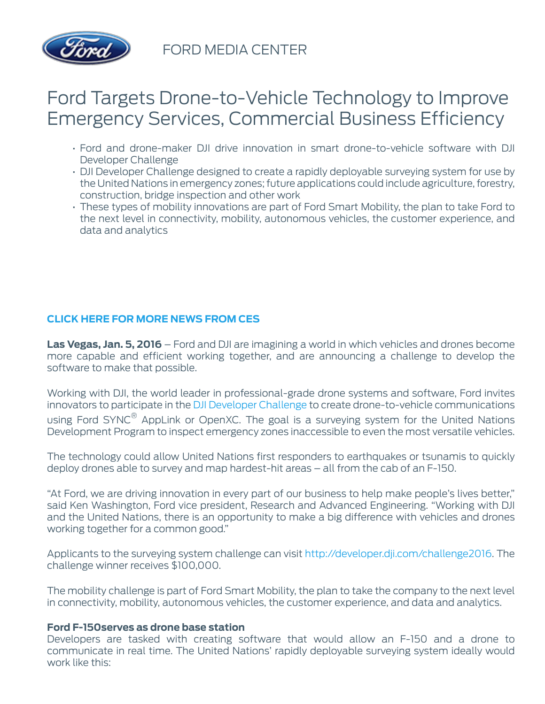

FORD MEDIA CENTER

# Ford Targets Drone-to-Vehicle Technology to Improve Emergency Services, Commercial Business Efficiency

- Ford and drone-maker DJI drive innovation in smart drone-to-vehicle software with DJI Developer Challenge
- DJI Developer Challenge designed to create a rapidly deployable surveying system for use by the United Nations in emergency zones; future applications could include agriculture, forestry, construction, bridge inspection and other work
- These types of mobility innovations are part of Ford Smart Mobility, the plan to take Ford to the next level in connectivity, mobility, autonomous vehicles, the customer experience, and data and analytics

## **[CLICK HERE FOR MORE NEWS FROM CES](/content/fordmedia/fna/us/en/news/2016/01/04/2016-ces.html)**

**Las Vegas, Jan. 5, 2016** – Ford and DJI are imagining a world in which vehicles and drones become more capable and efficient working together, and are announcing a challenge to develop the software to make that possible.

Working with DJI, the world leader in professional-grade drone systems and software, Ford invites innovators to participate in the [DJI Developer Challenge](https://youtu.be/txrfcrf2T70) to create drone-to-vehicle communications using Ford SYNC® AppLink or OpenXC. The goal is a surveying system for the United Nations Development Program to inspect emergency zones inaccessible to even the most versatile vehicles.

The technology could allow United Nations first responders to earthquakes or tsunamis to quickly deploy drones able to survey and map hardest-hit areas – all from the cab of an F-150.

"At Ford, we are driving innovation in every part of our business to help make people's lives better," said Ken Washington, Ford vice president, Research and Advanced Engineering. "Working with DJI and the United Nations, there is an opportunity to make a big difference with vehicles and drones working together for a common good."

Applicants to the surveying system challenge can visit [http://developer.dji.com/challenge2016.](http://developer.dji.com/challenge2016) The challenge winner receives \$100,000.

The mobility challenge is part of Ford Smart Mobility, the plan to take the company to the next level in connectivity, mobility, autonomous vehicles, the customer experience, and data and analytics.

#### **Ford F-150serves as drone base station**

Developers are tasked with creating software that would allow an F-150 and a drone to communicate in real time. The United Nations' rapidly deployable surveying system ideally would work like this: